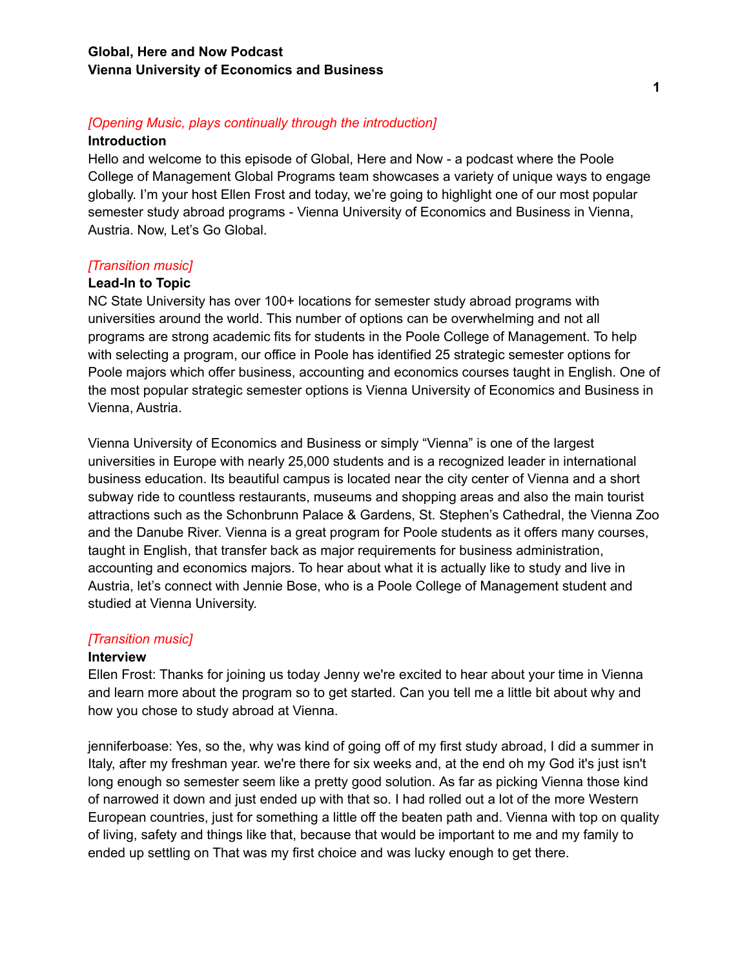# *[Opening Music, plays continually through the introduction]*

#### **Introduction**

Hello and welcome to this episode of Global, Here and Now - a podcast where the Poole College of Management Global Programs team showcases a variety of unique ways to engage globally. I'm your host Ellen Frost and today, we're going to highlight one of our most popular semester study abroad programs - Vienna University of Economics and Business in Vienna, Austria. Now, Let's Go Global.

# *[Transition music]*

### **Lead-In to Topic**

NC State University has over 100+ locations for semester study abroad programs with universities around the world. This number of options can be overwhelming and not all programs are strong academic fits for students in the Poole College of Management. To help with selecting a program, our office in Poole has identified 25 strategic semester options for Poole majors which offer business, accounting and economics courses taught in English. One of the most popular strategic semester options is Vienna University of Economics and Business in Vienna, Austria.

Vienna University of Economics and Business or simply "Vienna" is one of the largest universities in Europe with nearly 25,000 students and is a recognized leader in international business education. Its beautiful campus is located near the city center of Vienna and a short subway ride to countless restaurants, museums and shopping areas and also the main tourist attractions such as the Schonbrunn Palace & Gardens, St. Stephen's Cathedral, the Vienna Zoo and the Danube River. Vienna is a great program for Poole students as it offers many courses, taught in English, that transfer back as major requirements for business administration, accounting and economics majors. To hear about what it is actually like to study and live in Austria, let's connect with Jennie Bose, who is a Poole College of Management student and studied at Vienna University.

### *[Transition music]*

### **Interview**

Ellen Frost: Thanks for joining us today Jenny we're excited to hear about your time in Vienna and learn more about the program so to get started. Can you tell me a little bit about why and how you chose to study abroad at Vienna.

jenniferboase: Yes, so the, why was kind of going off of my first study abroad, I did a summer in Italy, after my freshman year. we're there for six weeks and, at the end oh my God it's just isn't long enough so semester seem like a pretty good solution. As far as picking Vienna those kind of narrowed it down and just ended up with that so. I had rolled out a lot of the more Western European countries, just for something a little off the beaten path and. Vienna with top on quality of living, safety and things like that, because that would be important to me and my family to ended up settling on That was my first choice and was lucky enough to get there.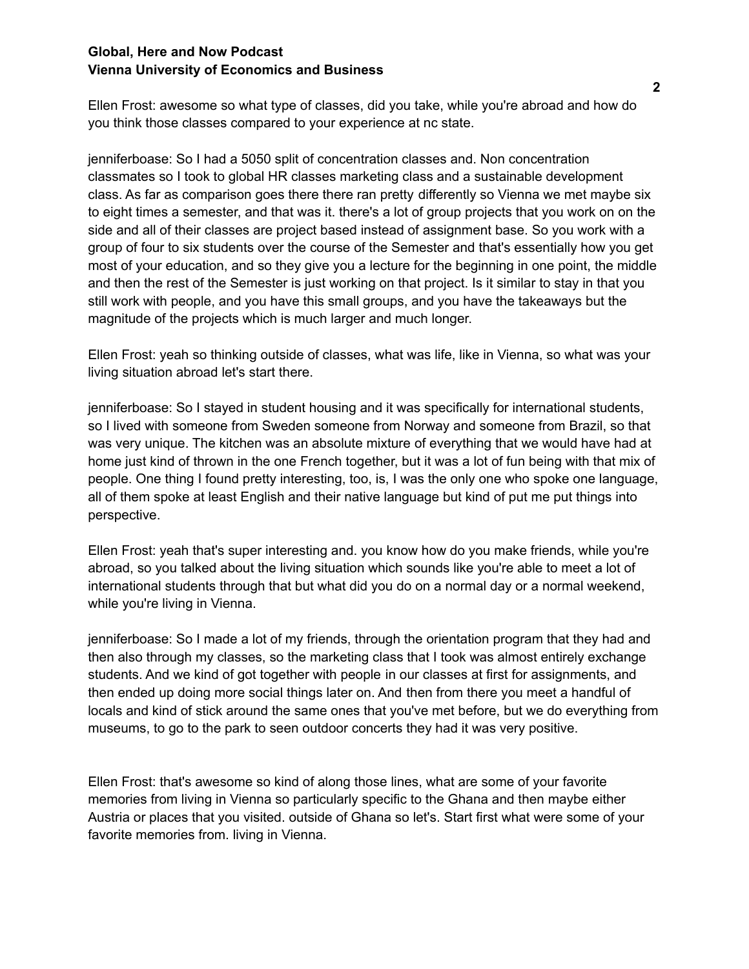### **Global, Here and Now Podcast Vienna University of Economics and Business**

Ellen Frost: awesome so what type of classes, did you take, while you're abroad and how do you think those classes compared to your experience at nc state.

jenniferboase: So I had a 5050 split of concentration classes and. Non concentration classmates so I took to global HR classes marketing class and a sustainable development class. As far as comparison goes there there ran pretty differently so Vienna we met maybe six to eight times a semester, and that was it. there's a lot of group projects that you work on on the side and all of their classes are project based instead of assignment base. So you work with a group of four to six students over the course of the Semester and that's essentially how you get most of your education, and so they give you a lecture for the beginning in one point, the middle and then the rest of the Semester is just working on that project. Is it similar to stay in that you still work with people, and you have this small groups, and you have the takeaways but the magnitude of the projects which is much larger and much longer.

Ellen Frost: yeah so thinking outside of classes, what was life, like in Vienna, so what was your living situation abroad let's start there.

jenniferboase: So I stayed in student housing and it was specifically for international students, so I lived with someone from Sweden someone from Norway and someone from Brazil, so that was very unique. The kitchen was an absolute mixture of everything that we would have had at home just kind of thrown in the one French together, but it was a lot of fun being with that mix of people. One thing I found pretty interesting, too, is, I was the only one who spoke one language, all of them spoke at least English and their native language but kind of put me put things into perspective.

Ellen Frost: yeah that's super interesting and. you know how do you make friends, while you're abroad, so you talked about the living situation which sounds like you're able to meet a lot of international students through that but what did you do on a normal day or a normal weekend, while you're living in Vienna.

jenniferboase: So I made a lot of my friends, through the orientation program that they had and then also through my classes, so the marketing class that I took was almost entirely exchange students. And we kind of got together with people in our classes at first for assignments, and then ended up doing more social things later on. And then from there you meet a handful of locals and kind of stick around the same ones that you've met before, but we do everything from museums, to go to the park to seen outdoor concerts they had it was very positive.

Ellen Frost: that's awesome so kind of along those lines, what are some of your favorite memories from living in Vienna so particularly specific to the Ghana and then maybe either Austria or places that you visited. outside of Ghana so let's. Start first what were some of your favorite memories from. living in Vienna.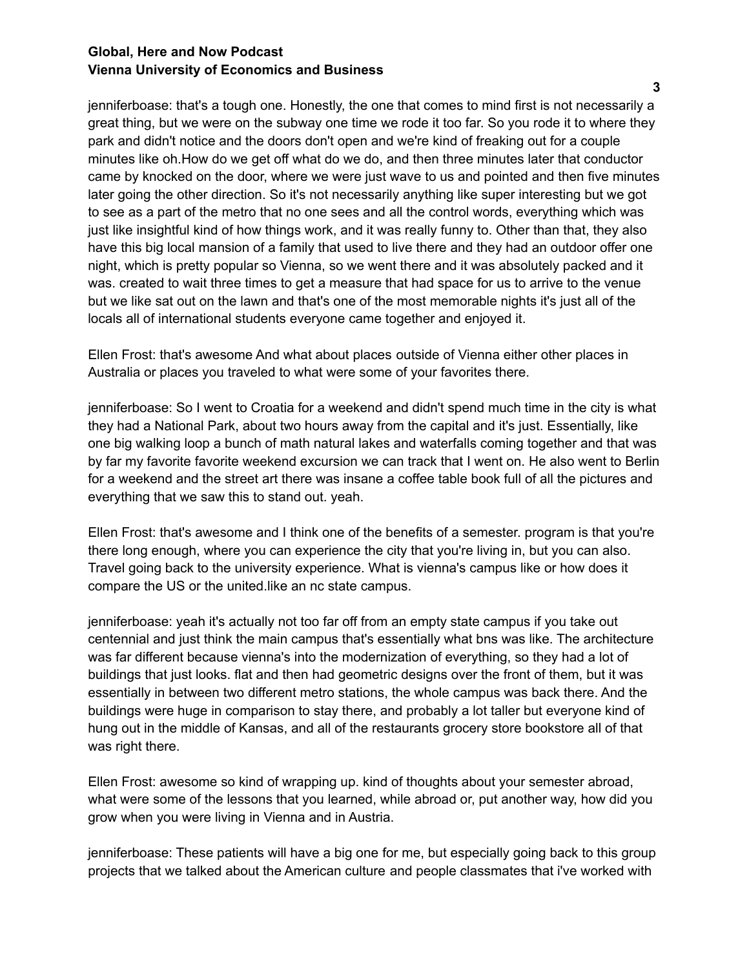### **Global, Here and Now Podcast Vienna University of Economics and Business**

jenniferboase: that's a tough one. Honestly, the one that comes to mind first is not necessarily a great thing, but we were on the subway one time we rode it too far. So you rode it to where they park and didn't notice and the doors don't open and we're kind of freaking out for a couple minutes like oh.How do we get off what do we do, and then three minutes later that conductor came by knocked on the door, where we were just wave to us and pointed and then five minutes later going the other direction. So it's not necessarily anything like super interesting but we got to see as a part of the metro that no one sees and all the control words, everything which was just like insightful kind of how things work, and it was really funny to. Other than that, they also have this big local mansion of a family that used to live there and they had an outdoor offer one night, which is pretty popular so Vienna, so we went there and it was absolutely packed and it was. created to wait three times to get a measure that had space for us to arrive to the venue but we like sat out on the lawn and that's one of the most memorable nights it's just all of the locals all of international students everyone came together and enjoyed it.

Ellen Frost: that's awesome And what about places outside of Vienna either other places in Australia or places you traveled to what were some of your favorites there.

jenniferboase: So I went to Croatia for a weekend and didn't spend much time in the city is what they had a National Park, about two hours away from the capital and it's just. Essentially, like one big walking loop a bunch of math natural lakes and waterfalls coming together and that was by far my favorite favorite weekend excursion we can track that I went on. He also went to Berlin for a weekend and the street art there was insane a coffee table book full of all the pictures and everything that we saw this to stand out. yeah.

Ellen Frost: that's awesome and I think one of the benefits of a semester. program is that you're there long enough, where you can experience the city that you're living in, but you can also. Travel going back to the university experience. What is vienna's campus like or how does it compare the US or the united.like an nc state campus.

jenniferboase: yeah it's actually not too far off from an empty state campus if you take out centennial and just think the main campus that's essentially what bns was like. The architecture was far different because vienna's into the modernization of everything, so they had a lot of buildings that just looks. flat and then had geometric designs over the front of them, but it was essentially in between two different metro stations, the whole campus was back there. And the buildings were huge in comparison to stay there, and probably a lot taller but everyone kind of hung out in the middle of Kansas, and all of the restaurants grocery store bookstore all of that was right there.

Ellen Frost: awesome so kind of wrapping up. kind of thoughts about your semester abroad, what were some of the lessons that you learned, while abroad or, put another way, how did you grow when you were living in Vienna and in Austria.

jenniferboase: These patients will have a big one for me, but especially going back to this group projects that we talked about the American culture and people classmates that i've worked with

**3**